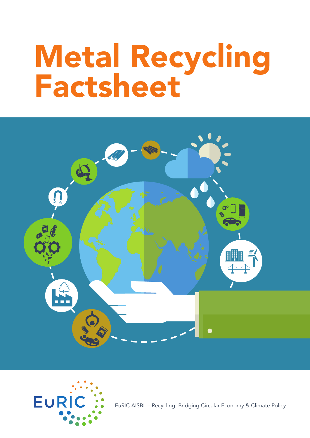# Metal Recycling Factsheet





EuRIC AISBL – Recycling: Bridging Circular Economy & Climate Policy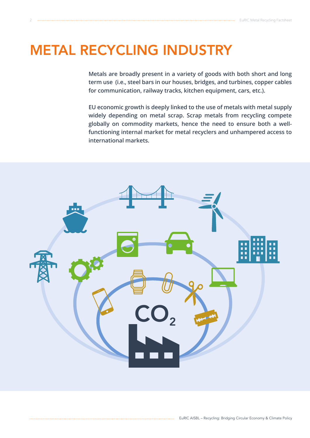# METAL RECYCLING INDUSTRY

**Metals are broadly present in a variety of goods with both short and long term use (i.e., steel bars in our houses, bridges, and turbines, copper cables for communication, railway tracks, kitchen equipment, cars, etc.).**

**EU economic growth is deeply linked to the use of metals with metal supply widely depending on metal scrap. Scrap metals from recycling compete globally on commodity markets, hence the need to ensure both a wellfunctioning internal market for metal recyclers and unhampered access to international markets.**

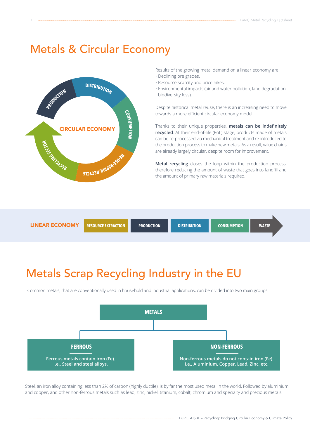# Metals & Circular Economy



Results of the growing metal demand on a linear economy are:

- Declining ore grades.
- Resource scarcity and price hikes.
- Environmental impacts (air and water pollution, land degradation, biodiversity loss).

Despite historical metal reuse, there is an increasing need to move towards a more efficient circular economy model.

Thanks to their unique properties, **metals can be indefinitely recycled**. At their end-of-life (EoL) stage, products made of metals can be re-processed via mechanical treatment and re-introduced to the production process to make new metals. As a result, value chains are already largely circular, despite room for improvement.

**Metal recycling** closes the loop within the production process, therefore reducing the amount of waste that goes into landfill and the amount of primary raw materials required.



# Metals Scrap Recycling Industry in the EU

Common metals, that are conventionally used in household and industrial applications, can be divided into two main groups:



Steel, an iron alloy containing less than 2% of carbon (highly ductile), is by far the most used metal in the world. Followed by aluminium and copper, and other non-ferrous metals such as lead, zinc, nickel, titanium, cobalt, chromium and specialty and precious metals.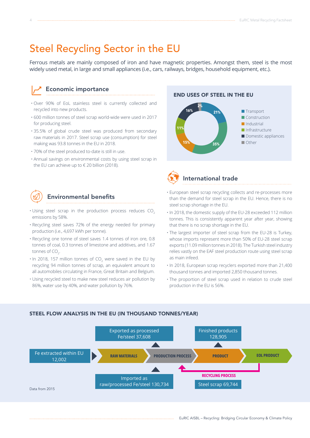# Steel Recycling Sector in the EU

Ferrous metals are mainly composed of iron and have magnetic properties. Amongst them, steel is the most widely used metal, in large and small appliances (i.e., cars, railways, bridges, household equipment, etc.).

#### Economic importance

- Over 90% of EoL stainless steel is currently collected and recycled into new products.
- 600 million tonnes of steel scrap world-wide were used in 2017 for producing steel.
- 35.5% of global crude steel was produced from secondary raw materials in 2017. Steel scrap use (consumption) for steel making was 93.8 tonnes in the EU in 2018.
- 70% of the steel produced to-date is still in use.
- Annual savings on environmental costs by using steel scrap in the EU can achieve up to € 20 billion (2018).



#### Environmental benefits

- $\cdot$  Using steel scrap in the production process reduces CO<sub>2</sub> emissions by 58%.
- Recycling steel saves 72% of the energy needed for primary production (i.e., 4,697 kWh per tonne).
- Recycling one tonne of steel saves 1.4 tonnes of iron ore, 0.8 tonnes of coal, 0.3 tonnes of limestone and additives, and 1.67 tonnes of CO $_2$ .
- $\cdot$  In 2018, 157 million tonnes of CO<sub>2</sub> were saved in the EU by recycling 94 million tonnes of scrap, an equivalent amount to all automobiles circulating in France, Great Britain and Belgium.
- Using recycled steel to make new steel reduces air pollution by 86%, water use by 40%, and water pollution by 76%.

#### END USES OF STEEL IN THE EU





#### International trade

- European steel scrap recycling collects and re-processes more than the demand for steel scrap in the EU. Hence, there is no steel scrap shortage in the EU.
- In 2018, the domestic supply of the EU-28 exceeded 112 million tonnes. This is consistently apparent year after year, showing that there is no scrap shortage in the EU.
- The largest importer of steel scrap from the EU-28 is Turkey, whose imports represent more than 50% of EU-28 steel scrap exports (11.09 million tonnes in 2018). The Turkish steel industry relies vastly on the EAF steel production route using steel scrap as main infeed.
- In 2018, European scrap recyclers exported more than 21,400 thousand tonnes and imported 2,850 thousand tonnes.
- The proportion of steel scrap used in relation to crude steel production in the EU is 56%.



#### STEEL FLOW ANALYSIS IN THE EU (IN THOUSAND TONNES/YEAR)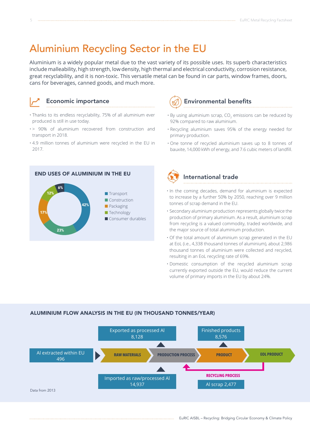# Aluminium Recycling Sector in the EU

Aluminium is a widely popular metal due to the vast variety of its possible uses. Its superb characteristics include malleability, high strength, low density, high thermal and electrical conductivity, corrosion resistance, great recyclability, and it is non-toxic. This versatile metal can be found in car parts, window frames, doors, cans for beverages, canned goods, and much more.



#### Economic importance

- Thanks to its endless recyclability, 75% of all aluminium ever produced is still in use today.
- > 90% of aluminium recovered from construction and transport in 2018.
- 4.9 million tonnes of aluminium were recycled in the EU in 2017.





- $\cdot$  By using aluminium scrap, CO<sub>2</sub> emissions can be reduced by 92% compared to raw aluminium.
- Recycling aluminium saves 95% of the energy needed for primary production.
- One tonne of recycled aluminium saves up to 8 tonnes of bauxite, 14,000 kWh of energy, and 7.6 cubic meters of landfill.



#### International trade

- In the coming decades, demand for aluminium is expected to increase by a further 50% by 2050, reaching over 9 million tonnes of scrap demand in the EU.
- Secondary aluminium production represents globally twice the production of primary aluminium. As a result, aluminium scrap from recycling is a valued commodity, traded worldwide, and the major source of total aluminium production.
- Of the total amount of aluminium scrap generated in the EU at EoL (i.e., 4,338 thousand tonnes of aluminium), about 2,986 thousand tonnes of aluminium were collected and recycled, resulting in an EoL recycling rate of 69%.
- Domestic consumption of the recycled aluminium scrap currently exported outside the EU, would reduce the current volume of primary imports in the EU by about 24%.

#### ALUMINIUM FLOW ANALYSIS IN THE EU (IN THOUSAND TONNES/YEAR)

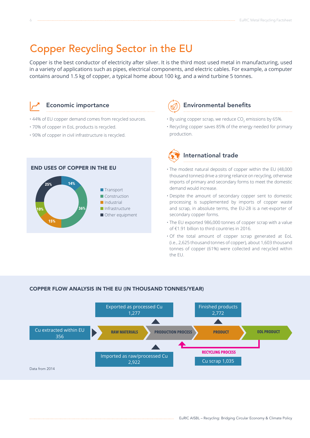# Copper Recycling Sector in the EU

Copper is the best conductor of electricity after silver. It is the third most used metal in manufacturing, used in a variety of applications such as pipes, electrical components, and electric cables. For example, a computer contains around 1.5 kg of copper, a typical home about 100 kg, and a wind turbine 5 tonnes.



#### Economic importance

- 44% of EU copper demand comes from recycled sources.
- 70% of copper in EoL products is recycled.
- 90% of copper in civil infrastructure is recycled.



#### Environmental benefits

- $\cdot$  By using copper scrap, we reduce CO<sub>2</sub> emissions by 65%.
- Recycling copper saves 85% of the energy needed for primary production.



#### International trade

- The modest natural deposits of copper within the EU (48,000 thousand tonnes) drive a strong reliance on recycling, otherwise imports of primary and secondary forms to meet the domestic demand would increase.
- Despite the amount of secondary copper sent to domestic processing is supplemented by imports of copper waste and scrap, in absolute terms, the EU-28 is a net-exporter of secondary copper forms.
- The EU exported 986,000 tonnes of copper scrap with a value of €1.91 billion to third countries in 2016.
- Of the total amount of copper scrap generated at EoL (i.e., 2,625 thousand tonnes of copper), about 1,603 thousand tonnes of copper (61%) were collected and recycled within the EU.

#### COPPER FLOW ANALYSIS IN THE EU (IN THOUSAND TONNES/YEAR)

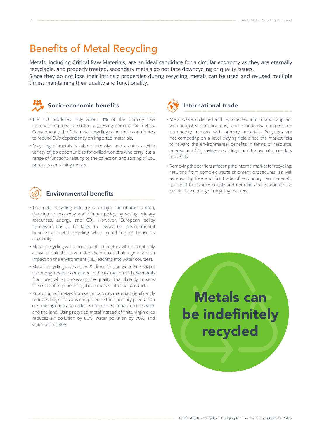# Benefits of Metal Recycling

Metals, including Critical Raw Materials, are an ideal candidate for a circular economy as they are eternally recyclable, and properly treated, secondary metals do not face downcycling or quality issues. Since they do not lose their intrinsic properties during recycling, metals can be used and re-used multiple

times, maintaining their quality and functionality.



#### Socio-economic benefits

- The EU produces only about 3% of the primary raw materials required to sustain a growing demand for metals. Consequently, the EU's metal recycling value chain contributes to reduce EU's dependency on imported materials.
- Recycling of metals is labour intensive and creates a wide variety of job opportunities for skilled workers who carry out a range of functions relating to the collection and sorting of EoL products containing metals.



#### Environmental benefits

- The metal recycling industry is a major contributor to both, the circular economy and climate policy, by saving primary resources, energy, and  $CO<sub>2</sub>$ . However, European policy framework has so far failed to reward the environmental benefits of metal recycling which could further boost its circularity.
- Metals recycling will reduce landfill of metals, which is not only a loss of valuable raw materials, but could also generate an impact on the environment (i.e., leaching into water courses).
- Metals recycling saves up to 20 times (i.e., between 60-95%) of the energy needed compared to the extraction of those metals from ores whilst preserving the quality. That directly impacts the costs of re-processing those metals into final products.
- Production of metals from secondary raw materials significantly reduces CO $_{\textrm{\tiny{2}}}$  emissions compared to their primary production (i.e., mining), and also reduces the derived impact on the water and the land. Using recycled metal instead of finite virgin ores reduces air pollution by 80%, water pollution by 76%, and water use by 40%.



- Metal waste collected and reprocessed into scrap, compliant with industry specifications, and standards, compete on commodity markets with primary materials. Recyclers are not competing on a level playing field since the market fails to reward the environmental benefits in terms of resource, energy, and  $CO_2$  savings resulting from the use of secondary materials.
- Removing the barriers affecting the internal market for recycling, resulting from complex waste shipment procedures, as well as ensuring free and fair trade of secondary raw materials, is crucial to balance supply and demand and guarantee the proper functioning of recycling markets.